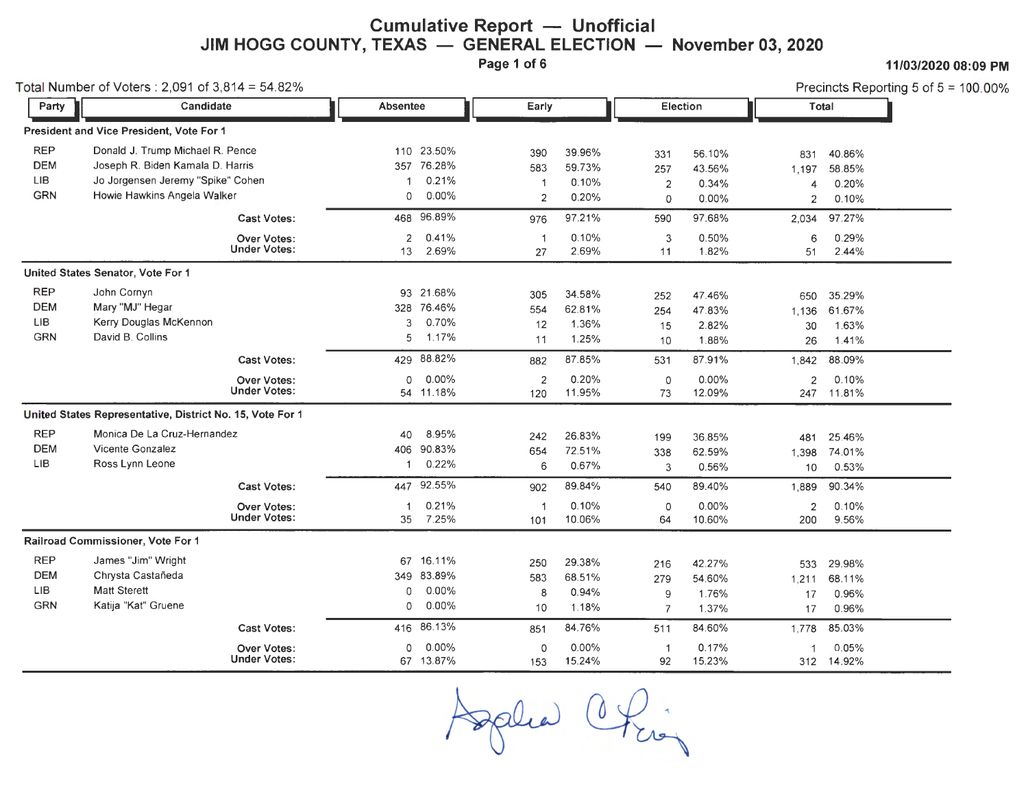## **Cumulative Report - Unofficial JIM HOGG COUNTY, TEXAS — GENERAL ELECTION — November 03, 2020**<br>Page 1 of 6

**Page 1 of 6 11/03/2020 08:09 PM** 

|                                                      | Total Number of Voters: 2,091 of $3,814 = 54.82\%$                                                                                       |                                           |                 |                                               |                                                |                                    |                                   |                                    |                                     | Precincts Reporting 5 of $5 = 100.00\%$ |
|------------------------------------------------------|------------------------------------------------------------------------------------------------------------------------------------------|-------------------------------------------|-----------------|-----------------------------------------------|------------------------------------------------|------------------------------------|-----------------------------------|------------------------------------|-------------------------------------|-----------------------------------------|
| Party                                                | Candidate                                                                                                                                |                                           | <b>Absentee</b> | Early                                         |                                                |                                    | Election                          |                                    | Total                               |                                         |
|                                                      | President and Vice President, Vote For 1                                                                                                 |                                           |                 |                                               |                                                |                                    |                                   |                                    |                                     |                                         |
| <b>REP</b><br><b>DEM</b><br><b>LIB</b><br><b>GRN</b> | Donald J. Trump Michael R. Pence<br>Joseph R. Biden Kamala D. Harris<br>Jo Jorgensen Jeremy "Spike" Cohen<br>Howie Hawkins Angela Walker |                                           | 0               | 110 23.50%<br>357 76.28%<br>0.21%<br>$0.00\%$ | 390<br>583<br>$\overline{1}$<br>$\overline{2}$ | 39.96%<br>59.73%<br>0.10%<br>0.20% | 331<br>257<br>$\overline{2}$<br>0 | 56.10%<br>43.56%<br>0.34%<br>0.00% | 831<br>1,197<br>4<br>$\overline{2}$ | 40.86%<br>58.85%<br>0.20%<br>0.10%      |
|                                                      |                                                                                                                                          | <b>Cast Votes:</b>                        | 468             | 96.89%                                        | 976                                            | 97.21%                             | 590                               | 97.68%                             | 2.034                               | 97.27%                                  |
|                                                      |                                                                                                                                          | <b>Over Votes:</b><br><b>Under Votes:</b> | 2<br>13         | 0.41%<br>2.69%                                | $\overline{1}$<br>27                           | 0.10%<br>2.69%                     | 3<br>11                           | 0.50%<br>1.82%                     | 6<br>51                             | 0.29%<br>2.44%                          |
|                                                      | United States Senator, Vote For 1                                                                                                        |                                           |                 |                                               |                                                |                                    |                                   |                                    |                                     |                                         |
| <b>REP</b><br><b>DEM</b><br><b>LIB</b><br><b>GRN</b> | John Cornyn<br>Mary "MJ" Hegar<br>Kerry Douglas McKennon<br>David B. Collins                                                             |                                           | 3<br>5          | 93 21.68%<br>328 76.46%<br>0.70%<br>1.17%     | 305<br>554<br>12<br>11                         | 34.58%<br>62.81%<br>1.36%<br>1.25% | 252<br>254<br>15<br>10            | 47.46%<br>47.83%<br>2.82%<br>1.88% | 650<br>1.136<br>30<br>26            | 35.29%<br>61.67%<br>1.63%<br>1.41%      |
|                                                      |                                                                                                                                          | <b>Cast Votes:</b>                        | 429             | 88.82%                                        | 882                                            | 87.85%                             | 531                               | 87.91%                             | 1,842                               | 88.09%                                  |
|                                                      |                                                                                                                                          | <b>Over Votes:</b><br><b>Under Votes:</b> | $\Omega$        | 0.00%<br>54 11.18%                            | $\overline{2}$<br>120                          | 0.20%<br>11.95%                    | 0<br>73                           | 0.00%<br>12.09%                    | $\overline{2}$                      | 0.10%<br>247 11.81%                     |
|                                                      | United States Representative, District No. 15, Vote For 1                                                                                |                                           |                 |                                               |                                                |                                    |                                   |                                    |                                     |                                         |
| <b>REP</b><br><b>DEM</b><br><b>LIB</b>               | Monica De La Cruz-Hernandez<br>Vicente Gonzalez<br>Ross Lynn Leone                                                                       |                                           | 40<br>406<br>1. | 8.95%<br>90.83%<br>0.22%                      | 242<br>654<br>6                                | 26.83%<br>72.51%<br>0.67%          | 199<br>338<br>3                   | 36.85%<br>62.59%<br>0.56%          | 481<br>1,398<br>10                  | 25.46%<br>74.01%<br>0.53%               |
|                                                      |                                                                                                                                          | <b>Cast Votes:</b>                        | 447             | 92.55%                                        | 902                                            | 89.84%                             | 540                               | 89.40%                             | 1.889                               | 90.34%                                  |
|                                                      |                                                                                                                                          | <b>Over Votes:</b><br><b>Under Votes:</b> | -1<br>35        | 0.21%<br>7.25%                                | -1<br>101                                      | 0.10%<br>10.06%                    | 0<br>64                           | 0.00%<br>10.60%                    | $\overline{2}$<br>200               | 0.10%<br>9.56%                          |
|                                                      | Railroad Commissioner, Vote For 1                                                                                                        |                                           |                 |                                               |                                                |                                    |                                   |                                    |                                     |                                         |
| <b>REP</b><br><b>DEM</b><br><b>LIB</b><br>GRN        | James "Jim" Wright<br>Chrysta Castañeda<br><b>Matt Sterett</b><br>Katija "Kat" Gruene                                                    |                                           | 0<br>0          | 67 16.11%<br>349 83.89%<br>0.00%<br>0.00%     | 250<br>583<br>8<br>10                          | 29.38%<br>68.51%<br>0.94%<br>1.18% | 216<br>279<br>9<br>$\overline{7}$ | 42.27%<br>54.60%<br>1.76%<br>1.37% | 533<br>1,211<br>17<br>17            | 29.98%<br>68.11%<br>0.96%<br>0.96%      |
|                                                      |                                                                                                                                          | Cast Votes:                               | 416             | 86.13%                                        | 851                                            | 84.76%                             | 511                               | 84.60%                             | 1,778                               | 85.03%                                  |
|                                                      |                                                                                                                                          | Over Votes:<br><b>Under Votes:</b>        | $\Omega$        | 0.00%<br>67 13.87%                            | $\circ$<br>153                                 | 0.00%<br>15.24%                    | $\mathbf 1$<br>92                 | 0.17%<br>15.23%                    |                                     | 0.05%<br>312 14.92%                     |

Splia Chie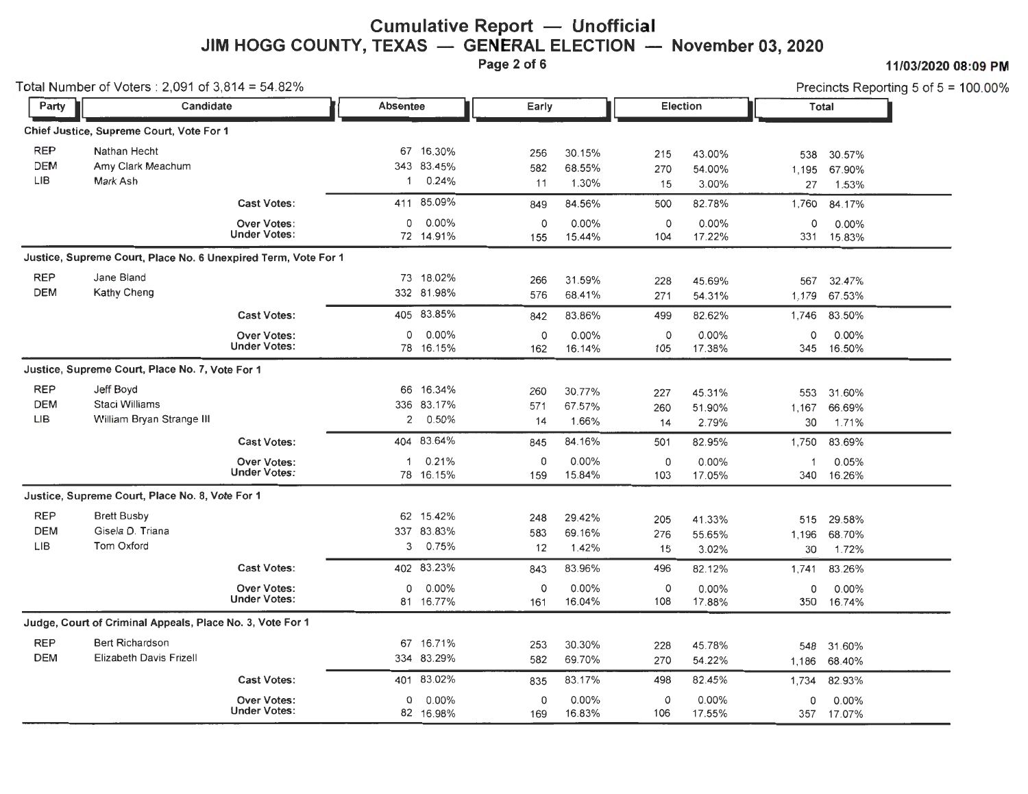# **Cumulative Report - Unofficial JIM HOGG COUNTY, TEXAS — GENERAL ELECTION — November 03, 2020**<br>Page 2 of 6

**Page 2 of 6 11/03/2020 08:09PM** 

| Total Number of Voters: $2,091$ of $3,814 = 54.82\%$ |                                                                |                                           |                      |                                  |                  |                           |                  | Precincts Reporting 5 of $5 = 100.00\%$ |                    |                               |  |
|------------------------------------------------------|----------------------------------------------------------------|-------------------------------------------|----------------------|----------------------------------|------------------|---------------------------|------------------|-----------------------------------------|--------------------|-------------------------------|--|
| Party                                                | Candidate                                                      |                                           | <b>Absentee</b>      |                                  | Early            |                           | <b>Election</b>  |                                         |                    | Total                         |  |
|                                                      | Chief Justice, Supreme Court, Vote For 1                       |                                           |                      |                                  |                  |                           |                  |                                         |                    |                               |  |
| <b>REP</b><br><b>DEM</b><br>LIB                      | Nathan Hecht<br>Amy Clark Meachum<br>Mark Ash                  |                                           | 67<br>$\overline{1}$ | 16.30%<br>343 83.45%<br>0.24%    | 256<br>582<br>11 | 30.15%<br>68.55%<br>1.30% | 215<br>270<br>15 | 43.00%<br>54.00%<br>3.00%               | 538<br>1,195<br>27 | 30.57%<br>67.90%<br>1.53%     |  |
|                                                      |                                                                | <b>Cast Votes:</b>                        | 411                  | 85.09%                           | 849              | 84.56%                    | 500              | 82.78%                                  | 1,760              | 84.17%                        |  |
|                                                      |                                                                | <b>Over Votes:</b><br><b>Under Votes:</b> | 0                    | 0.00%<br>72 14.91%               | 0<br>155         | 0.00%<br>15.44%           | $\circ$<br>104   | 0.00%<br>17.22%                         | 0<br>331           | $0.00\%$<br>15.83%            |  |
|                                                      | Justice, Supreme Court, Place No. 6 Unexpired Term, Vote For 1 |                                           |                      |                                  |                  |                           |                  |                                         |                    |                               |  |
| <b>REP</b><br><b>DEM</b>                             | Jane Bland<br>Kathy Cheng                                      |                                           |                      | 73 18.02%<br>332 81.98%          | 266<br>576       | 31.59%<br>68.41%          | 228<br>271       | 45.69%<br>54.31%                        | 567                | 32.47%<br>1,179 67.53%        |  |
|                                                      |                                                                | <b>Cast Votes:</b>                        |                      | 405 83.85%                       | 842              | 83.86%                    | 499              | 82.62%                                  | 1,746              | 83.50%                        |  |
|                                                      |                                                                | <b>Over Votes:</b><br><b>Under Votes:</b> | 0                    | 0.00%<br>78 16.15%               | 0<br>162         | $0.00\%$<br>16.14%        | 0<br>105         | 0.00%<br>17.38%                         | 0<br>345           | $0.00\%$<br>16.50%            |  |
|                                                      | Justice, Supreme Court, Place No. 7, Vote For 1                |                                           |                      |                                  |                  |                           |                  |                                         |                    |                               |  |
| <b>REP</b><br><b>DEM</b><br>LIB                      | Jeff Boyd<br>Staci Williams<br>William Bryan Strange III       |                                           | 66<br>2              | 16.34%<br>336 83.17%<br>0.50%    | 260<br>571<br>14 | 30.77%<br>67.57%<br>1.66% | 227<br>260<br>14 | 45.31%<br>51.90%<br>2.79%               | 553<br>1,167<br>30 | 31.60%<br>66.69%<br>1.71%     |  |
|                                                      |                                                                | <b>Cast Votes:</b>                        |                      | 404 83.64%                       | 845              | 84.16%                    | 501              | 82.95%                                  | 1,750              | 83.69%                        |  |
|                                                      |                                                                | <b>Over Votes:</b><br><b>Under Votes:</b> | $\mathbf 1$          | 0.21%<br>78 16.15%               | 0<br>159         | 0.00%<br>15.84%           | 0<br>103         | $0.00\%$<br>17.05%                      | -1<br>340          | 0.05%<br>16.26%               |  |
|                                                      | Justice, Supreme Court, Place No. 8, Vote For 1                |                                           |                      |                                  |                  |                           |                  |                                         |                    |                               |  |
| <b>REP</b><br><b>DEM</b><br><b>LIB</b>               | <b>Brett Busby</b><br>Gisela D. Triana<br>Tom Oxford           |                                           | 3                    | 62 15.42%<br>337 83.83%<br>0.75% | 248<br>583<br>12 | 29.42%<br>69.16%<br>1.42% | 205<br>276<br>15 | 41.33%<br>55.65%<br>3.02%               | 1,196<br>30        | 515 29.58%<br>68.70%<br>1.72% |  |
|                                                      |                                                                | <b>Cast Votes:</b>                        |                      | 402 83.23%                       | 843              | 83.96%                    | 496              | 82.12%                                  | 1,741              | 83.26%                        |  |
|                                                      |                                                                | <b>Over Votes:</b><br><b>Under Votes:</b> | 0                    | 0.00%<br>81 16.77%               | $\circ$<br>161   | 0.00%<br>16.04%           | 0<br>108         | 0.00%<br>17.88%                         | 0<br>350           | $0.00\%$<br>16.74%            |  |
|                                                      | Judge, Court of Criminal Appeals, Place No. 3, Vote For 1      |                                           |                      |                                  |                  |                           |                  |                                         |                    |                               |  |
| <b>REP</b><br><b>DEM</b>                             | <b>Bert Richardson</b><br><b>Elizabeth Davis Frizell</b>       |                                           | 67                   | 16.71%<br>334 83.29%             | 253<br>582       | 30.30%<br>69.70%          | 228<br>270       | 45.78%<br>54.22%                        | 548<br>1,186       | 31.60%<br>68.40%              |  |
|                                                      |                                                                | <b>Cast Votes:</b>                        | 401                  | 83.02%                           | 835              | 83.17%                    | 498              | 82.45%                                  | 1,734              | 82.93%                        |  |
|                                                      |                                                                | <b>Over Votes:</b><br><b>Under Votes:</b> | 0                    | 0.00%<br>82 16.98%               | 0<br>169         | $0.00\%$<br>16.83%        | 0<br>106         | 0.00%<br>17.55%                         | 0                  | $0.00\%$<br>357 17.07%        |  |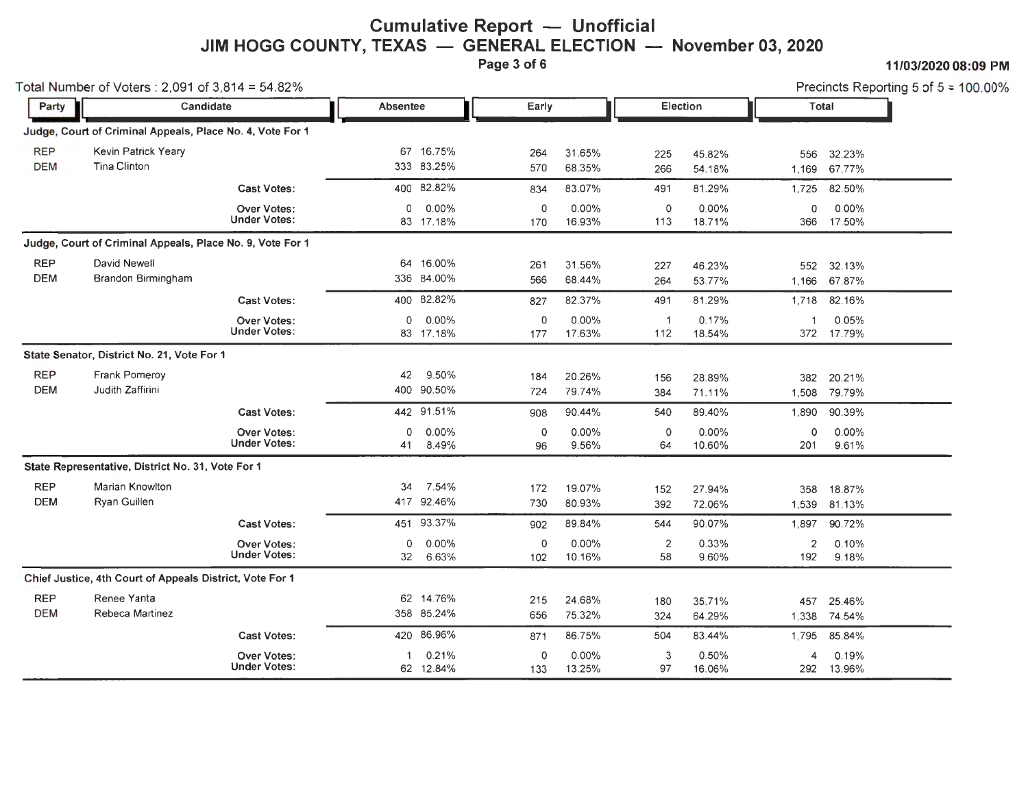## **Cumulative Report - Unofficial** JIM HOGG COUNTY, TEXAS — GENERAL ELECTION — November 03, 2020

**Page 3 of 6 11/03/2020 08:09 PM** 

Total Number of Voters:  $2,091$  of  $3,814 = 54.82\%$ 

| Party                    | Candidate                                                 |                                           | Absentee     |                         | Early              |                  | Election              |                  |                    | Total               |  |
|--------------------------|-----------------------------------------------------------|-------------------------------------------|--------------|-------------------------|--------------------|------------------|-----------------------|------------------|--------------------|---------------------|--|
|                          | Judge, Court of Criminal Appeals, Place No. 4, Vote For 1 |                                           |              |                         |                    |                  |                       |                  |                    |                     |  |
| <b>REP</b><br><b>DEM</b> | Kevin Patrick Yeary<br>Tina Clinton                       |                                           | 67           | 16.75%<br>333 83.25%    | 264<br>570         | 31.65%<br>68.35% | 225<br>266            | 45.82%<br>54.18% | 556<br>1,169       | 32.23%<br>67.77%    |  |
|                          |                                                           | <b>Cast Votes:</b>                        |              | 400 82.82%              | 834                | 83.07%           | 491                   | 81.29%           | 1,725              | 82.50%              |  |
|                          |                                                           | <b>Over Votes:</b><br><b>Under Votes:</b> | $\Omega$     | $0.00\%$<br>83 17.18%   | $\circ$<br>170     | 0.00%<br>16.93%  | $\circ$<br>113        | 0.00%<br>18.71%  | $\Omega$<br>366    | 0.00%<br>17.50%     |  |
|                          | Judge, Court of Criminal Appeals, Place No. 9, Vote For 1 |                                           |              |                         |                    |                  |                       |                  |                    |                     |  |
| <b>REP</b><br><b>DEM</b> | David Newell<br>Brandon Birmingham                        |                                           | 64<br>336    | 16.00%<br>84.00%        | 261<br>566         | 31.56%<br>68.44% | 227<br>264            | 46.23%<br>53.77% | 552<br>1.166       | 32.13%<br>67.87%    |  |
|                          |                                                           | <b>Cast Votes:</b>                        |              | 400 82.82%              | 827                | 82.37%           | 491                   | 81.29%           | 1,718              | 82.16%              |  |
|                          |                                                           | <b>Over Votes:</b><br><b>Under Votes:</b> | 0            | $0.00\%$<br>83 17.18%   | 0<br>177           | 0.00%<br>17.63%  | $\overline{1}$<br>112 | 0.17%<br>18.54%  |                    | 0.05%<br>372 17.79% |  |
|                          | State Senator, District No. 21, Vote For 1                |                                           |              |                         |                    |                  |                       |                  |                    |                     |  |
| <b>REP</b><br><b>DEM</b> | Frank Pomeroy<br>Judith Zaffirini                         |                                           | 42<br>400    | 9.50%<br>90.50%         | 184<br>724         | 20.26%<br>79.74% | 156<br>384            | 28.89%<br>71.11% | 382<br>1,508       | 20.21%<br>79.79%    |  |
|                          |                                                           | <b>Cast Votes:</b>                        |              | 442 91.51%              | 908                | 90.44%           | 540                   | 89.40%           | 1,890              | 90.39%              |  |
|                          |                                                           | <b>Over Votes:</b><br><b>Under Votes:</b> | 0<br>41      | 0.00%<br>8.49%          | $\circ$<br>96      | 0.00%<br>9.56%   | $\circ$<br>64         | 0.00%<br>10.60%  | $\mathbf 0$<br>201 | 0.00%<br>9.61%      |  |
|                          | State Representative, District No. 31, Vote For 1         |                                           |              |                         |                    |                  |                       |                  |                    |                     |  |
| <b>REP</b><br><b>DEM</b> | Marian Knowlton<br>Ryan Guillen                           |                                           | 34           | 7.54%<br>417 92.46%     | 172<br>730         | 19.07%<br>80.93% | 152<br>392            | 27.94%<br>72.06% | 358<br>1.539       | 18.87%<br>81.13%    |  |
|                          |                                                           | <b>Cast Votes:</b>                        | 451          | 93.37%                  | 902                | 89.84%           | 544                   | 90.07%           | 1.897              | 90.72%              |  |
|                          |                                                           | <b>Over Votes:</b><br><b>Under Votes:</b> | 0<br>32      | 0.00%<br>6.63%          | 0<br>102           | 0.00%<br>10.16%  | 2<br>58               | 0.33%<br>9.60%   | 2<br>192           | 0.10%<br>9.18%      |  |
|                          | Chief Justice, 4th Court of Appeals District, Vote For 1  |                                           |              |                         |                    |                  |                       |                  |                    |                     |  |
| <b>REP</b><br><b>DEM</b> | Renee Yanta<br>Rebeca Martinez                            |                                           |              | 62 14.76%<br>358 85.24% | 215<br>656         | 24.68%<br>75.32% | 180<br>324            | 35.71%<br>64.29% | 457<br>1.338       | 25.46%<br>74.54%    |  |
|                          |                                                           | <b>Cast Votes:</b>                        |              | 420 86.96%              | 871                | 86.75%           | 504                   | 83.44%           | 1.795              | 85.84%              |  |
|                          |                                                           | <b>Over Votes:</b><br><b>Under Votes:</b> | $\mathbf{1}$ | 0.21%<br>62 12.84%      | $\mathbf 0$<br>133 | 0.00%<br>13.25%  | 3<br>97               | 0.50%<br>16.06%  | 4<br>292           | 0.19%<br>13.96%     |  |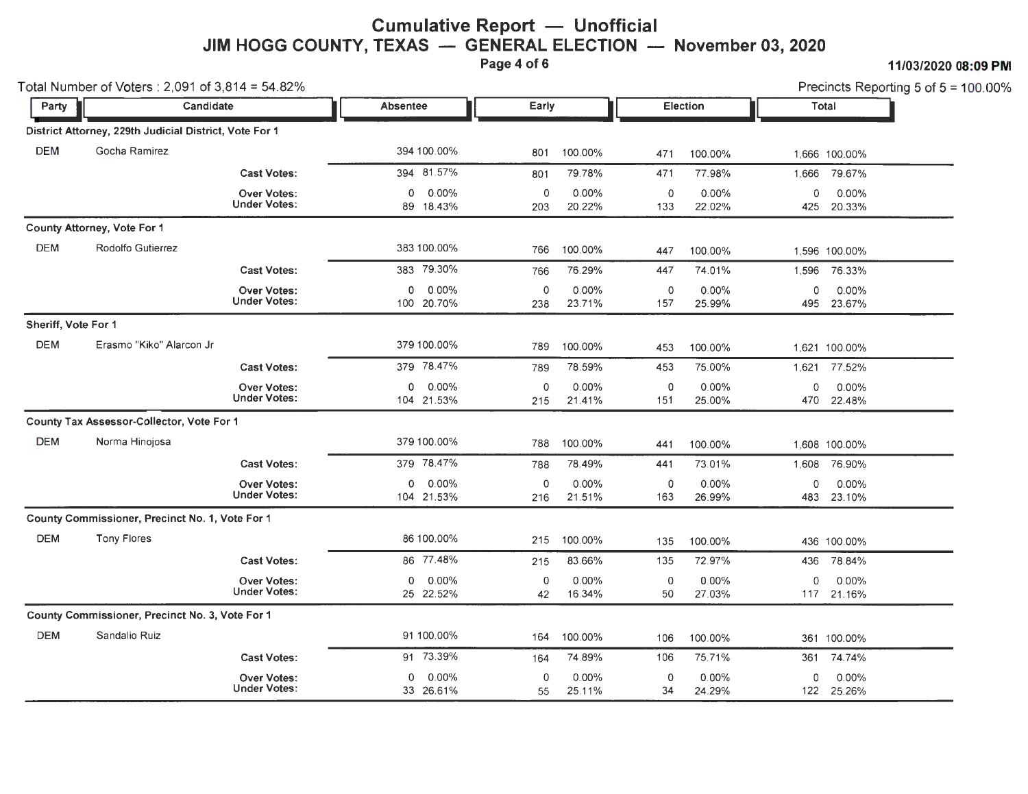## **Cumulative Report — Unofficial** JIM HOGG COUNTY, TEXAS - GENERAL ELECTION - November 03, 2020

**Page 4 of 6 11/03/2020 08:09 PM** 

|                     | Total Number of Voters: 2,091 of 3,814 = 54.82%        |                                           |                                |                |                    |                |                    |                    |                        | Precincts Reporting 5 of 5 = 100.00% |
|---------------------|--------------------------------------------------------|-------------------------------------------|--------------------------------|----------------|--------------------|----------------|--------------------|--------------------|------------------------|--------------------------------------|
| Party               | Candidate                                              |                                           | <b>Absentee</b>                | Early          |                    |                | Election           |                    | Total                  |                                      |
|                     | District Attorney, 229th Judicial District, Vote For 1 |                                           |                                |                |                    |                |                    |                    |                        |                                      |
| <b>DEM</b>          | Gocha Ramirez                                          |                                           | 394 100.00%                    | 801            | 100.00%            | 471            | 100.00%            |                    | 1.666 100.00%          |                                      |
|                     |                                                        | <b>Cast Votes:</b>                        | 394 81.57%                     | 801            | 79.78%             | 471            | 77.98%             |                    | 1,666 79.67%           |                                      |
|                     |                                                        | <b>Over Votes:</b><br><b>Under Votes:</b> | 0.00%<br>$\Omega$<br>89 18.43% | $\circ$<br>203 | $0.00\%$<br>20.22% | $\circ$<br>133 | $0.00\%$<br>22.02% | 0                  | $0.00\%$<br>425 20.33% |                                      |
|                     | County Attorney, Vote For 1                            |                                           |                                |                |                    |                |                    |                    |                        |                                      |
| <b>DEM</b>          | Rodolfo Gutierrez                                      |                                           | 383 100.00%                    | 766            | 100.00%            | 447            | 100.00%            |                    | 1,596 100.00%          |                                      |
|                     |                                                        | <b>Cast Votes:</b>                        | 383 79.30%                     | 766            | 76.29%             | 447            | 74.01%             | 1,596              | 76.33%                 |                                      |
|                     |                                                        | Over Votes:<br><b>Under Votes:</b>        | $0.00\%$<br>0<br>100 20.70%    | $\circ$<br>238 | 0.00%<br>23.71%    | 0<br>157       | 0.00%<br>25.99%    | 0                  | 0.00%<br>495 23.67%    |                                      |
| Sheriff, Vote For 1 |                                                        |                                           |                                |                |                    |                |                    |                    |                        |                                      |
| <b>DEM</b>          | Erasmo "Kiko" Alarcon Jr                               |                                           | 379 100.00%                    | 789            | 100.00%            | 453            | 100.00%            |                    | 1,621 100.00%          |                                      |
|                     |                                                        | <b>Cast Votes:</b>                        | 379 78.47%                     | 789            | 78.59%             | 453            | 75.00%             | 1,621              | 77.52%                 |                                      |
|                     |                                                        | Over Votes:<br><b>Under Votes:</b>        | 0.00%<br>0<br>104 21.53%       | $\circ$<br>215 | 0.00%<br>21.41%    | 0<br>151       | 0.00%<br>25.00%    | $\mathbf 0$<br>470 | 0.00%<br>22.48%        |                                      |
|                     | County Tax Assessor-Collector, Vote For 1              |                                           |                                |                |                    |                |                    |                    |                        |                                      |
| <b>DEM</b>          | Norma Hinojosa                                         |                                           | 379 100.00%                    | 788            | 100.00%            | 441            | 100.00%            |                    | 1,608 100.00%          |                                      |
|                     |                                                        | <b>Cast Votes:</b>                        | 379 78.47%                     | 788            | 78.49%             | 441            | 73.01%             |                    | 1,608 76.90%           |                                      |
|                     |                                                        | <b>Over Votes:</b><br><b>Under Votes:</b> | 0.00%<br>0<br>104 21.53%       | $\circ$<br>216 | 0.00%<br>21.51%    | 0<br>163       | $0.00\%$<br>26.99% | $\mathbf 0$        | $0.00\%$<br>483 23.10% |                                      |
|                     | County Commissioner, Precinct No. 1, Vote For 1        |                                           |                                |                |                    |                |                    |                    |                        |                                      |
| <b>DEM</b>          | <b>Tony Flores</b>                                     |                                           | 86 100.00%                     | 215            | 100.00%            | 135            | 100.00%            |                    | 436 100.00%            |                                      |
|                     |                                                        | <b>Cast Votes:</b>                        | 86 77.48%                      | 215            | 83.66%             | 135            | 72.97%             | 436                | 78.84%                 |                                      |
|                     |                                                        | <b>Over Votes:</b><br><b>Under Votes:</b> | $0.00\%$<br>0<br>25 22.52%     | $\circ$<br>42  | 0.00%<br>16.34%    | 0<br>50        | 0.00%<br>27.03%    | $\mathbf 0$        | 0.00%<br>117 21.16%    |                                      |
|                     | County Commissioner, Precinct No. 3, Vote For 1        |                                           |                                |                |                    |                |                    |                    |                        |                                      |
| <b>DEM</b>          | Sandalio Ruiz                                          |                                           | 91 100.00%                     | 164            | 100.00%            | 106            | 100.00%            |                    | 361 100.00%            |                                      |
|                     |                                                        | <b>Cast Votes:</b>                        | 91 73.39%                      | 164            | 74.89%             | 106            | 75.71%             | 361                | 74.74%                 |                                      |
|                     |                                                        | <b>Over Votes:</b><br><b>Under Votes:</b> | 0.00%<br>0<br>33 26.61%        | $\circ$<br>55  | $0.00\%$<br>25.11% | 0<br>34        | $0.00\%$<br>24.29% | 0                  | $0.00\%$<br>122 25.26% |                                      |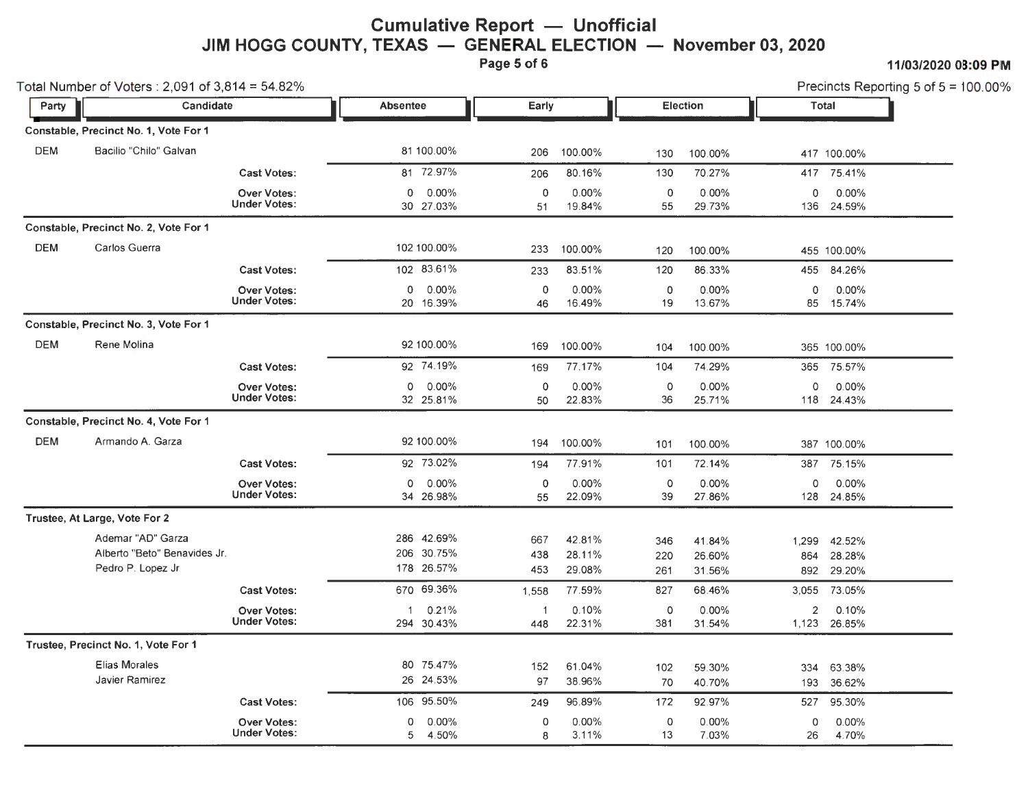## **Cumulative Report - Unofficial** JIM HOGG COUNTY, TEXAS - GENERAL ELECTION - November 03, 2020

Page 5 of 6 11/03/2020 08:09 PM

| Total Number of Voters: 2,091 of 3,814 = 54.82% |                                                                        |                                           |                      |                                    |                   |                            |                           | Precincts Reporting 5 of 5 = 100.00% |                |                                |
|-------------------------------------------------|------------------------------------------------------------------------|-------------------------------------------|----------------------|------------------------------------|-------------------|----------------------------|---------------------------|--------------------------------------|----------------|--------------------------------|
| Party                                           | Candidate<br>Constable, Precinct No. 1, Vote For 1                     |                                           | <b>Absentee</b>      |                                    | Early             |                            | Election                  |                                      |                | Total                          |
|                                                 |                                                                        |                                           |                      |                                    |                   |                            |                           |                                      |                |                                |
| <b>DEM</b>                                      | Bacilio "Chilo" Galvan                                                 |                                           |                      | 81 100.00%                         | 206               | 100.00%                    | 130                       | 100.00%                              |                | 417 100.00%                    |
|                                                 |                                                                        | <b>Cast Votes:</b>                        |                      | 81 72.97%                          | 206               | 80.16%                     | 130                       | 70.27%                               |                | 417 75.41%                     |
|                                                 |                                                                        | <b>Over Votes:</b><br><b>Under Votes:</b> | 0                    | 0.00%<br>30 27.03%                 | $\mathbf 0$<br>51 | 0.00%<br>19.84%            | 0<br>55                   | 0.00%<br>29.73%                      | 0              | 0.00%<br>136 24.59%            |
|                                                 | Constable, Precinct No. 2, Vote For 1                                  |                                           |                      |                                    |                   |                            |                           |                                      |                |                                |
| <b>DEM</b>                                      | Carlos Guerra                                                          |                                           |                      | 102 100.00%                        | 233               | 100.00%                    | 120                       | 100.00%                              |                | 455 100.00%                    |
|                                                 |                                                                        | <b>Cast Votes:</b>                        |                      | 102 83.61%                         | 233               | 83.51%                     | 120                       | 86.33%                               | 455            | 84.26%                         |
|                                                 |                                                                        | <b>Over Votes:</b><br><b>Under Votes:</b> | 0                    | $0.00\%$<br>20 16.39%              | $\mathbf 0$<br>46 | $0.00\%$<br>16.49%         | 0<br>19                   | $0.00\%$<br>13.67%                   | 0              | $0.00\%$<br>85 15.74%          |
|                                                 | Constable, Precinct No. 3, Vote For 1                                  |                                           |                      |                                    |                   |                            |                           |                                      |                |                                |
| <b>DEM</b>                                      | Rene Molina                                                            |                                           |                      | 92 100.00%                         | 169               | 100.00%                    | 104                       | 100.00%                              |                | 365 100.00%                    |
|                                                 |                                                                        | <b>Cast Votes:</b>                        |                      | 92 74.19%                          | 169               | 77.17%                     | 104                       | 74.29%                               | 365            | 75.57%                         |
|                                                 |                                                                        | <b>Over Votes:</b><br><b>Under Votes:</b> | $\circ$              | 0.00%<br>32 25.81%                 | $\mathbf 0$<br>50 | 0.00%<br>22.83%            | 0<br>36                   | 0.00%<br>25.71%                      | 0              | 0.00%<br>118 24.43%            |
|                                                 | Constable, Precinct No. 4, Vote For 1                                  |                                           |                      |                                    |                   |                            |                           |                                      |                |                                |
| <b>DEM</b>                                      | Armando A. Garza                                                       |                                           |                      | 92 100.00%                         | 194               | 100.00%                    | 101                       | 100.00%                              |                | 387 100.00%                    |
|                                                 |                                                                        | <b>Cast Votes:</b>                        |                      | 92 73.02%                          | 194               | 77.91%                     | 101                       | 72.14%                               |                | 387 75.15%                     |
|                                                 |                                                                        | Over Votes:<br><b>Under Votes:</b>        | $\circ$              | $0.00\%$<br>34 26.98%              | 0<br>55           | $0.00\%$<br>22.09%         | $\mathsf{O}\xspace$<br>39 | 0.00%<br>27.86%                      | 0              | $0.00\%$<br>128 24.85%         |
|                                                 | Trustee, At Large, Vote For 2                                          |                                           |                      |                                    |                   |                            |                           |                                      |                |                                |
|                                                 | Ademar "AD" Garza<br>Alberto "Beto" Benavides Jr.<br>Pedro P. Lopez Jr |                                           | 286                  | 42.69%<br>206 30.75%<br>178 26.57% | 667<br>438<br>453 | 42.81%<br>28.11%<br>29.08% | 346<br>220<br>261         | 41.84%<br>26.60%<br>31.56%           | 1,299<br>864   | 42.52%<br>28.28%<br>892 29.20% |
|                                                 |                                                                        | <b>Cast Votes:</b>                        |                      | 670 69.36%                         | 1,558             | 77.59%                     | 827                       | 68.46%                               | 3,055          | 73.05%                         |
|                                                 |                                                                        | <b>Over Votes:</b><br><b>Under Votes:</b> | $\blacktriangleleft$ | 0.21%<br>294 30.43%                | -1<br>448         | 0.10%<br>22.31%            | 0<br>381                  | $0.00\%$<br>31.54%                   | $\overline{2}$ | 0.10%<br>1,123 26.85%          |
|                                                 | Trustee, Precinct No. 1, Vote For 1                                    |                                           |                      |                                    |                   |                            |                           |                                      |                |                                |
|                                                 | <b>Elias Morales</b><br>Javier Ramirez                                 |                                           |                      | 80 75.47%<br>26 24.53%             | 152<br>97         | 61.04%<br>38.96%           | 102<br>70                 | 59.30%<br>40.70%                     | 334<br>193     | 63.38%<br>36.62%               |
|                                                 |                                                                        | <b>Cast Votes:</b>                        |                      | 106 95.50%                         | 249               | 96.89%                     | 172                       | 92.97%                               | 527            | 95.30%                         |
|                                                 |                                                                        | <b>Over Votes:</b><br><b>Under Votes:</b> | 0<br>5               | 0.00%<br>4.50%                     | 0<br>8            | $0.00\%$<br>3.11%          | 0<br>13                   | 0.00%<br>7.03%                       | 0<br>26        | 0.00%<br>4.70%                 |